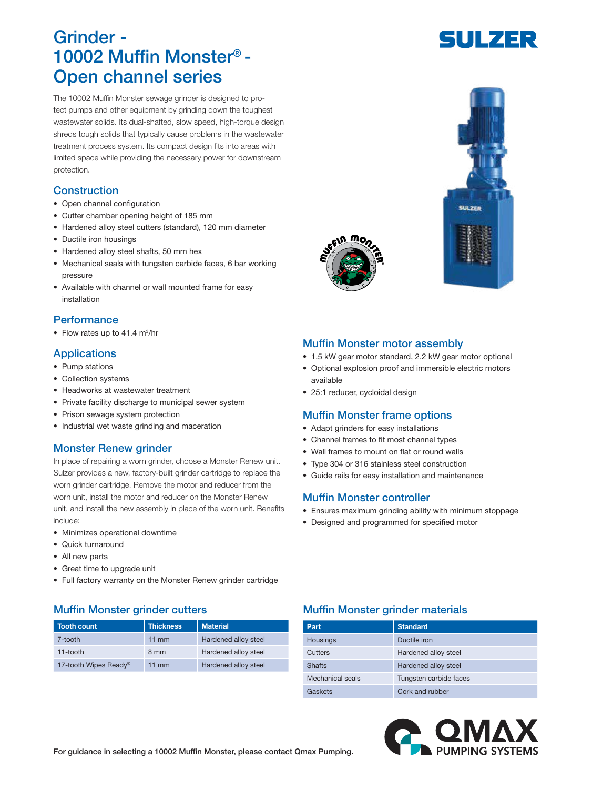# Grinder - 10002 Muffin Monster® - Open channel series

The 10002 Muffin Monster sewage grinder is designed to protect pumps and other equipment by grinding down the toughest wastewater solids. Its dual-shafted, slow speed, high-torque design shreds tough solids that typically cause problems in the wastewater treatment process system. Its compact design fits into areas with limited space while providing the necessary power for downstream protection.

# **Construction**

- Open channel configuration
- Cutter chamber opening height of 185 mm
- Hardened alloy steel cutters (standard), 120 mm diameter
- Ductile iron housings
- Hardened alloy steel shafts, 50 mm hex
- Mechanical seals with tungsten carbide faces, 6 bar working pressure
- Available with channel or wall mounted frame for easy installation

# **Performance**

• Flow rates up to 41.4 m<sup>3</sup>/hr

# **Applications**

- Pump stations
- Collection systems
- Headworks at wastewater treatment
- Private facility discharge to municipal sewer system
- Prison sewage system protection
- Industrial wet waste grinding and maceration

# Monster Renew grinder

In place of repairing a worn grinder, choose a Monster Renew unit. Sulzer provides a new, factory-built grinder cartridge to replace the worn grinder cartridge. Remove the motor and reducer from the worn unit, install the motor and reducer on the Monster Renew unit, and install the new assembly in place of the worn unit. Benefits include:

- Minimizes operational downtime
- Quick turnaround
- All new parts
- Great time to upgrade unit
- Full factory warranty on the Monster Renew grinder cartridge

| Tooth count                       | <b>Thickness</b> | <b>Material</b>      |
|-----------------------------------|------------------|----------------------|
| 7-tooth                           | $11 \text{ mm}$  | Hardened alloy steel |
| 11-tooth                          | 8 mm             | Hardened alloy steel |
| 17-tooth Wipes Ready <sup>®</sup> | $11 \text{ mm}$  | Hardened alloy steel |





# Muffin Monster motor assembly

- 1.5 kW gear motor standard, 2.2 kW gear motor optional
- Optional explosion proof and immersible electric motors available
- 25:1 reducer, cycloidal design

#### Muffin Monster frame options

- Adapt grinders for easy installations
- Channel frames to fit most channel types
- Wall frames to mount on flat or round walls
- Type 304 or 316 stainless steel construction
- Guide rails for easy installation and maintenance

#### Muffin Monster controller

- Ensures maximum grinding ability with minimum stoppage
- Designed and programmed for specified motor

# Muffin Monster grinder cutters **Muffin Monster grinder materials**

| Part             | <b>Standard</b>        |
|------------------|------------------------|
| <b>Housings</b>  | Ductile iron           |
| Cutters          | Hardened alloy steel   |
| <b>Shafts</b>    | Hardened alloy steel   |
| Mechanical seals | Tungsten carbide faces |
| Gaskets          | Cork and rubber        |



For guidance in selecting a 10002 Muffin Monster, please contact Qmax Pumping.

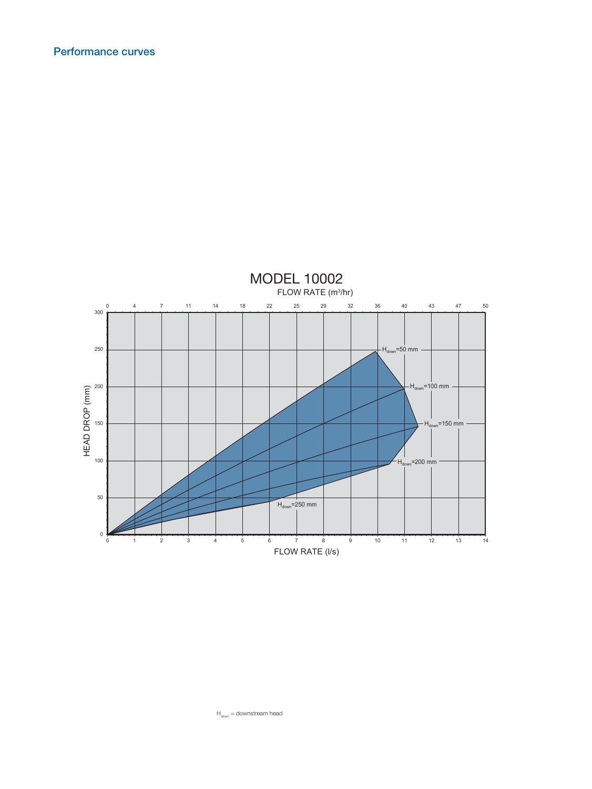

 $H_{down} =$  downstream head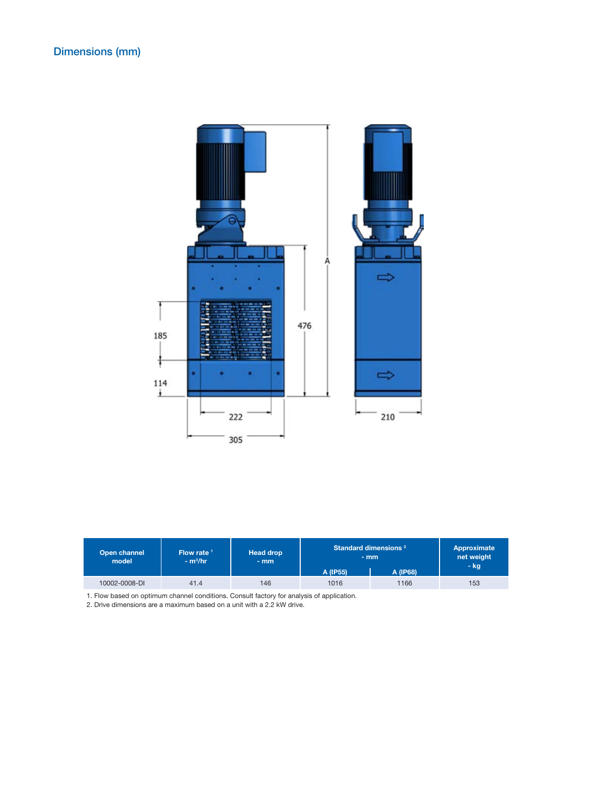

| Open channel<br>model | Flow rate $1$<br>$-m^3/hr$ | <b>Head drop</b><br>$-$ mm | Standard dimensions <sup>2</sup><br>$-$ mm |          | Approximate<br>net weight<br>– kg |
|-----------------------|----------------------------|----------------------------|--------------------------------------------|----------|-----------------------------------|
|                       |                            |                            | A (IP55)                                   | A (IP68) |                                   |
| 10002-0008-DI         | 41.4                       | 146                        | 1016                                       | 1166     | 153                               |

1. Flow based on optimum channel conditions. Consult factory for analysis of application.

2. Drive dimensions are a maximum based on a unit with a 2.2 kW drive.